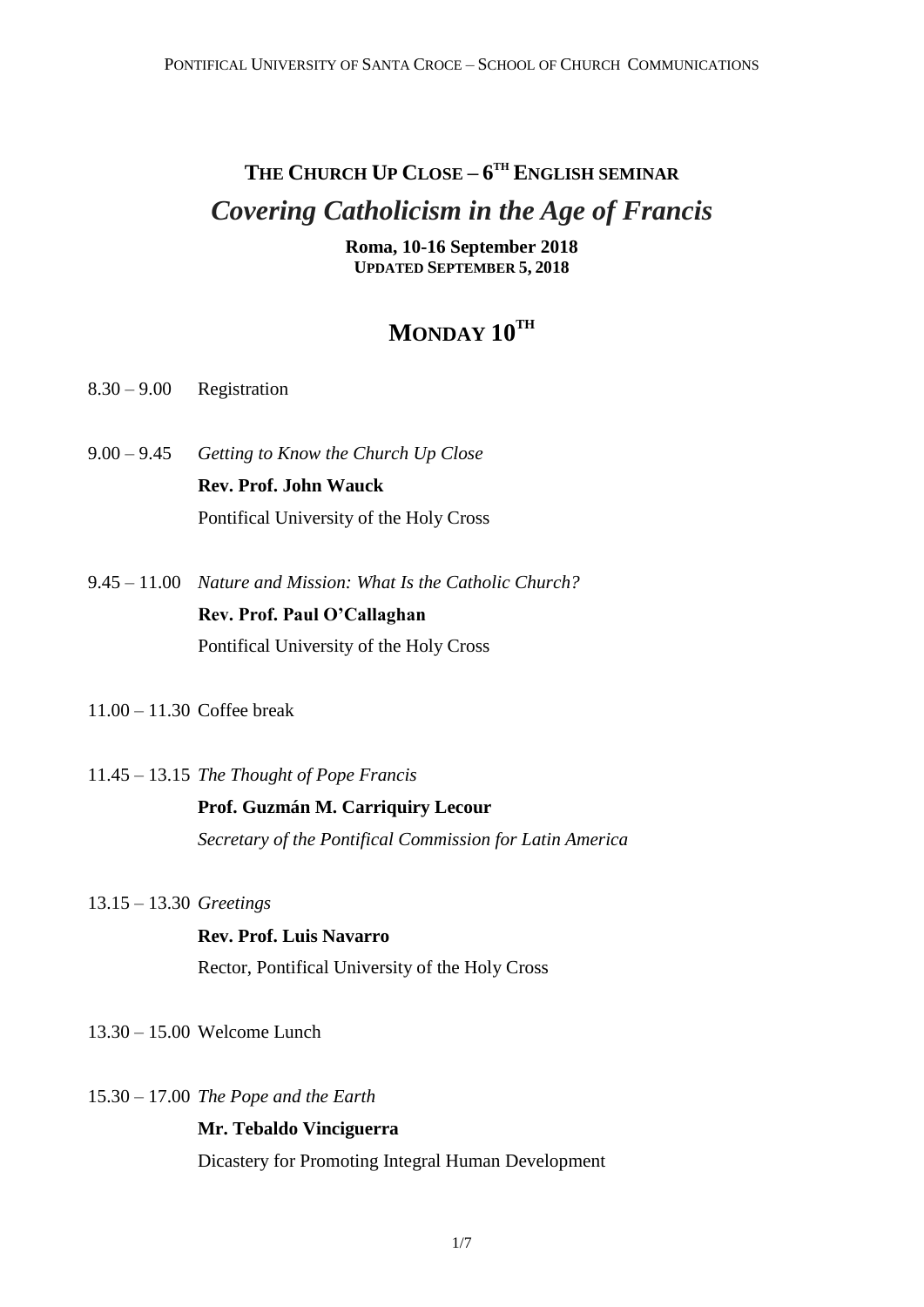# **THE CHURCH UP CLOSE – 6 TH ENGLISH SEMINAR** *Covering Catholicism in the Age of Francis*

**Roma, 10-16 September 2018 UPDATED SEPTEMBER 5, 2018**

### **MONDAY 10TH**

- 8.30 9.00 Registration
- 9.00 9.45 *Getting to Know the Church Up Close*  **Rev. Prof. John Wauck** Pontifical University of the Holy Cross
- 9.45 11.00 *Nature and Mission: What Is the Catholic Church?* **Rev. Prof. Paul O'Callaghan** Pontifical University of the Holy Cross
- 11.00 11.30 Coffee break
- 11.45 13.15 *The Thought of Pope Francis*

### **Prof. Guzmán M. Carriquiry Lecour**

*Secretary of the Pontifical Commission for Latin America*

13.15 – 13.30 *Greetings*

### **Rev. Prof. Luis Navarro** Rector, Pontifical University of the Holy Cross

- 13.30 15.00 Welcome Lunch
- 15.30 17.00 *The Pope and the Earth*

#### **Mr. Tebaldo Vinciguerra**

Dicastery for Promoting Integral Human Development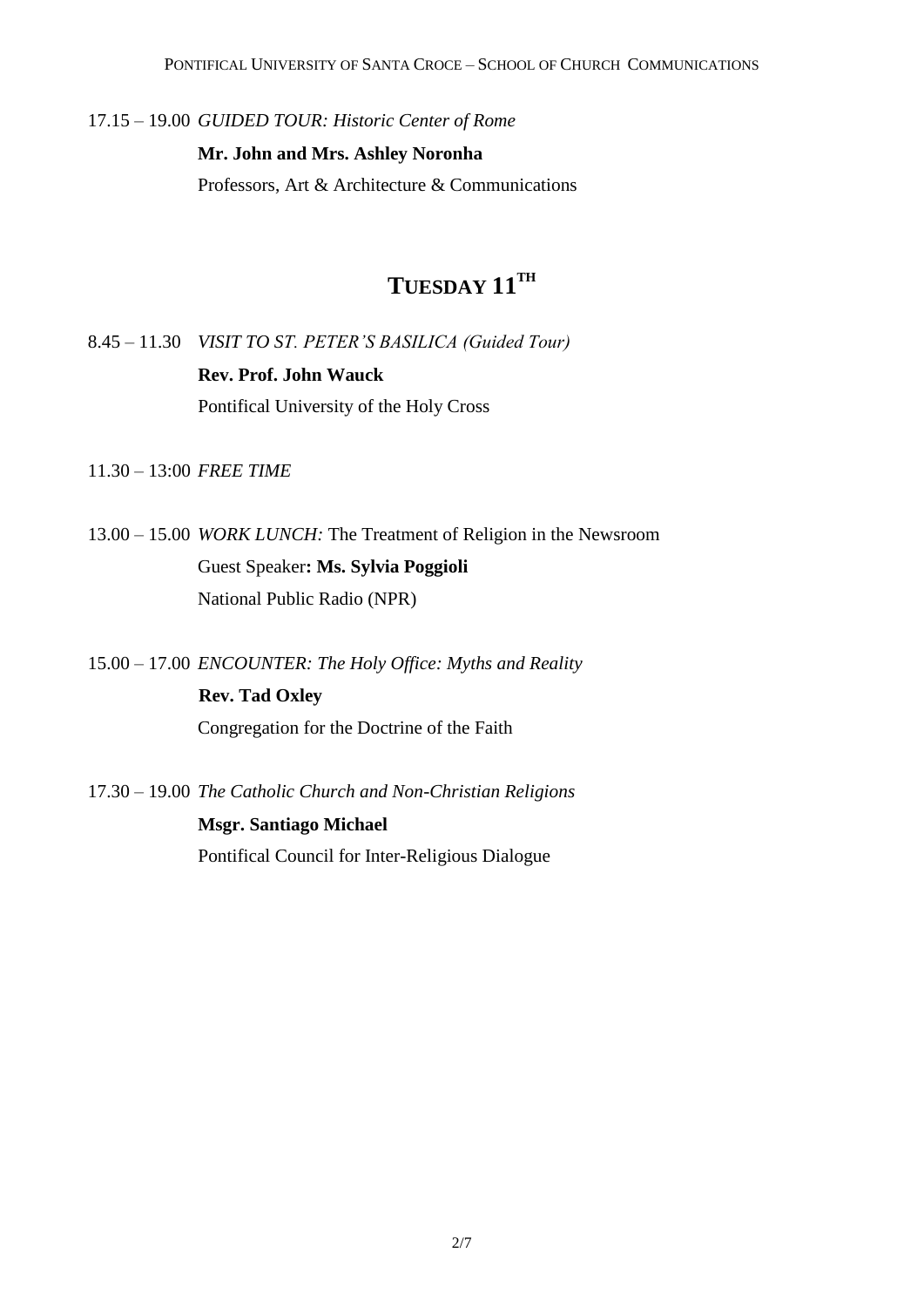17.15 – 19.00 *GUIDED TOUR: Historic Center of Rome*

**Mr. John and Mrs. Ashley Noronha**

Professors, Art & Architecture & Communications

### **TUESDAY 11TH**

8.45 – 11.30 *VISIT TO ST. PETER'S BASILICA (Guided Tour)* **Rev. Prof. John Wauck** Pontifical University of the Holy Cross

11.30 – 13:00 *FREE TIME*

13.00 – 15.00 *WORK LUNCH:* The Treatment of Religion in the Newsroom Guest Speaker**: Ms. Sylvia Poggioli** National Public Radio (NPR)

15.00 – 17.00 *ENCOUNTER: The Holy Office: Myths and Reality*

 **Rev. Tad Oxley** Congregation for the Doctrine of the Faith

17.30 – 19.00 *The Catholic Church and Non-Christian Religions*

**Msgr. Santiago Michael** Pontifical Council for Inter-Religious Dialogue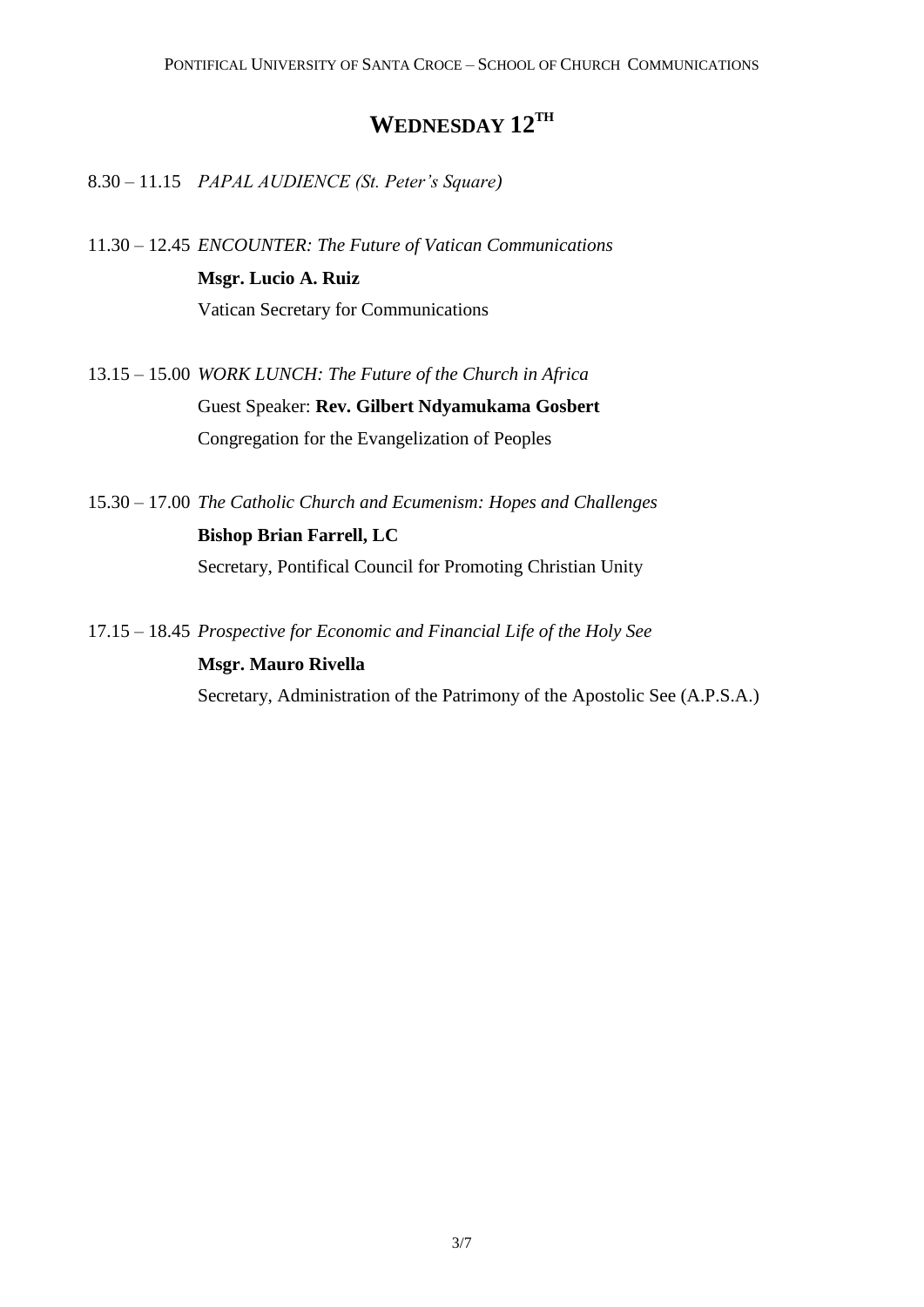### **WEDNESDAY 12TH**

8.30 – 11.15 *PAPAL AUDIENCE (St. Peter's Square)*

- 11.30 12.45 *ENCOUNTER: The Future of Vatican Communications* **Msgr. Lucio A. Ruiz** Vatican Secretary for Communications
- 13.15 15.00 *WORK LUNCH: The Future of the Church in Africa* Guest Speaker: **Rev. Gilbert Ndyamukama Gosbert** Congregation for the Evangelization of Peoples
- 15.30 17.00 *The Catholic Church and Ecumenism: Hopes and Challenges* **Bishop Brian Farrell, LC** Secretary, Pontifical Council for Promoting Christian Unity
- 17.15 18.45 *Prospective for Economic and Financial Life of the Holy See*  **Msgr. Mauro Rivella**  Secretary, Administration of the Patrimony of the Apostolic See (A.P.S.A.)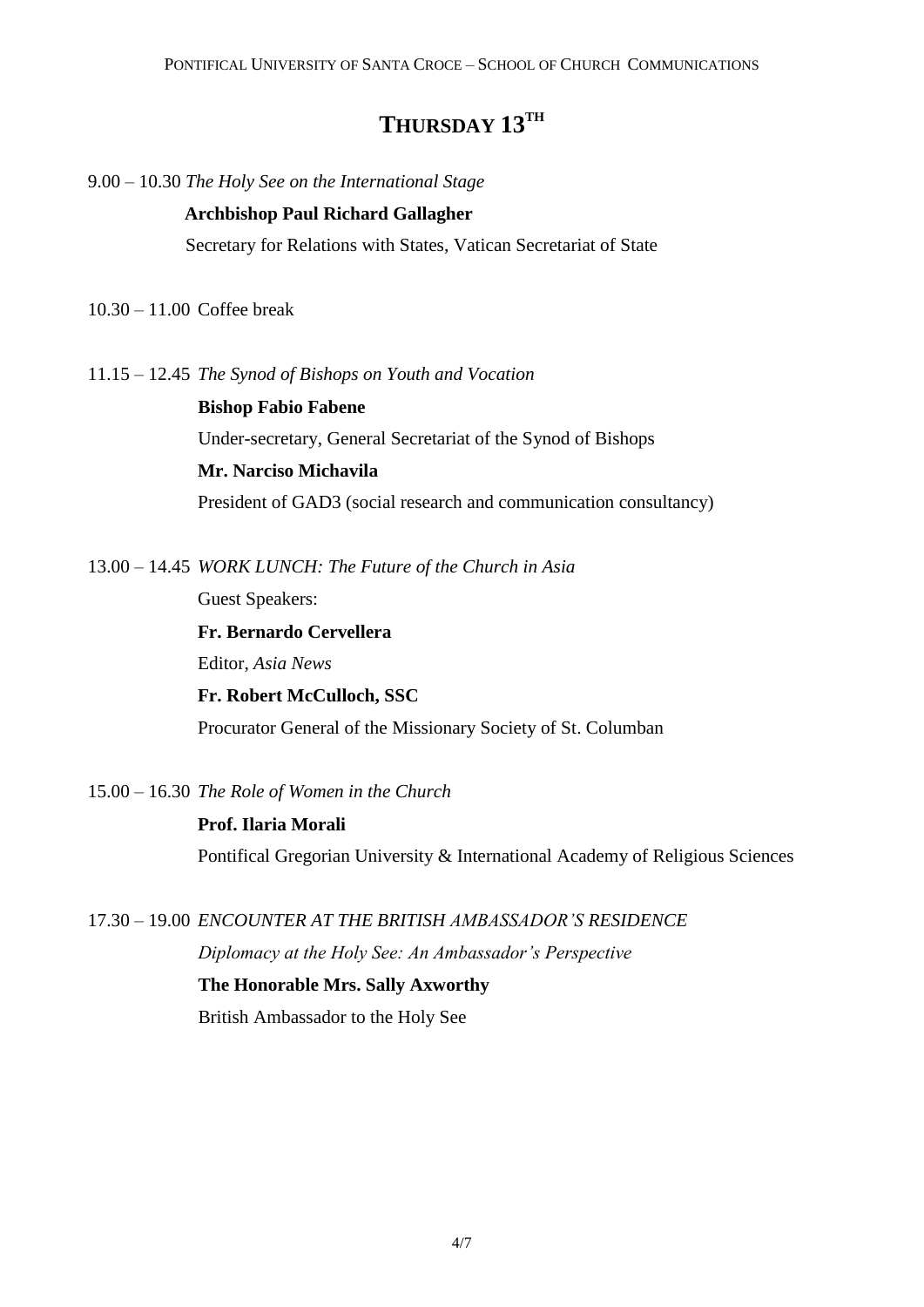### **THURSDAY 13TH**

9.00 – 10.30 *The Holy See on the International Stage*

#### **Archbishop Paul Richard Gallagher**

Secretary for Relations with States, Vatican Secretariat of State

10.30 – 11.00 Coffee break

11.15 – 12.45 *The Synod of Bishops on Youth and Vocation*

**Bishop Fabio Fabene** Under-secretary, General Secretariat of the Synod of Bishops **Mr. Narciso Michavila** President of GAD3 (social research and communication consultancy)

13.00 – 14.45 *WORK LUNCH: The Future of the Church in Asia*

Guest Speakers:

**Fr. Bernardo Cervellera** Editor, *Asia News* **Fr. Robert McCulloch, SSC** Procurator General of the Missionary Society of St. Columban

15.00 – 16.30 *The Role of Women in the Church*

**Prof. Ilaria Morali** Pontifical Gregorian University & International Academy of Religious Sciences

17.30 – 19.00 *ENCOUNTER AT THE BRITISH AMBASSADOR'S RESIDENCE*

*Diplomacy at the Holy See: An Ambassador's Perspective*

**The Honorable Mrs. Sally Axworthy**

British Ambassador to the Holy See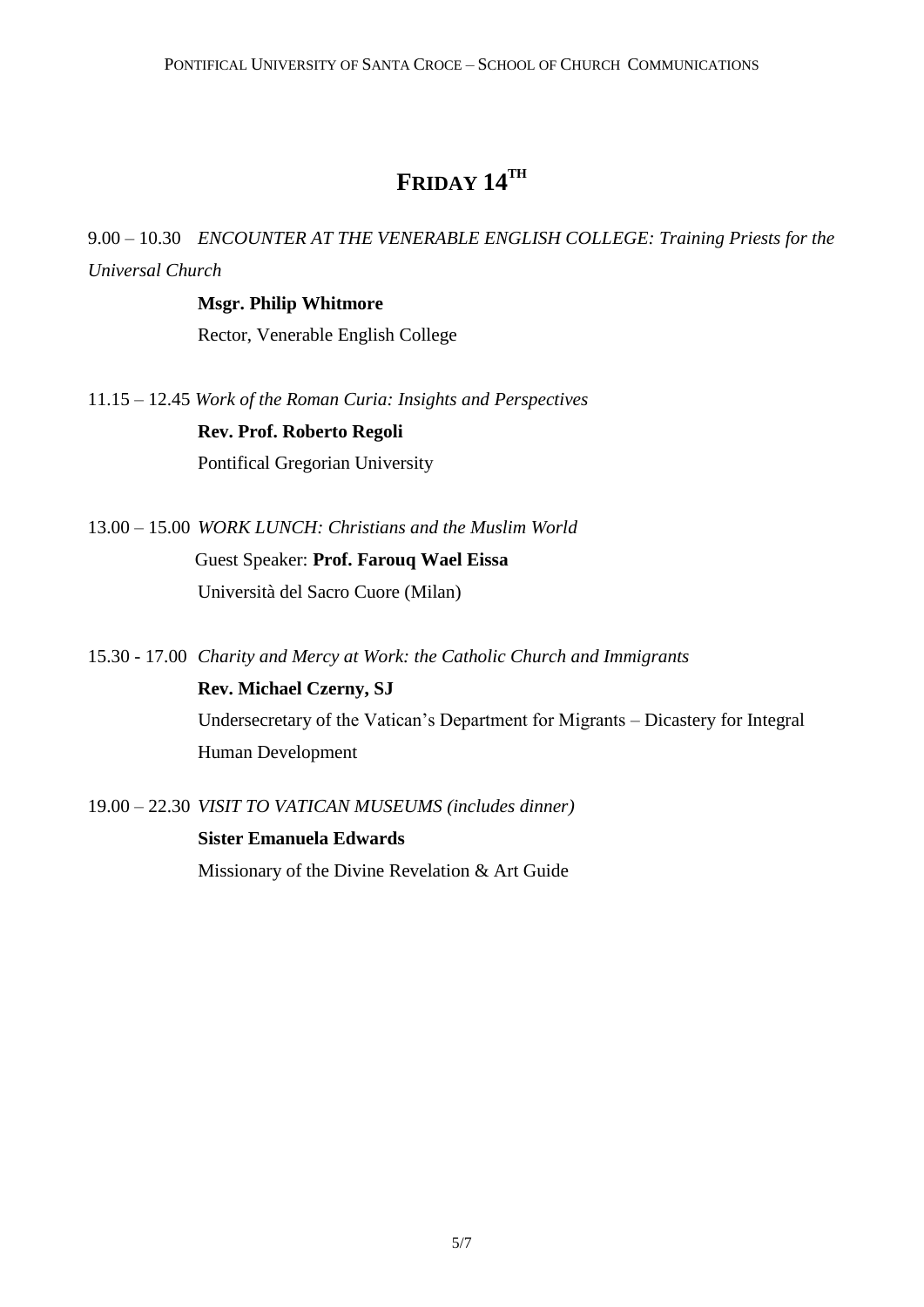### **FRIDAY 14TH**

9.00 – 10.30 *ENCOUNTER AT THE VENERABLE ENGLISH COLLEGE: Training Priests for the Universal Church*

> **Msgr. Philip Whitmore**  Rector, Venerable English College

11.15 – 12.45 *Work of the Roman Curia: Insights and Perspectives*

**Rev. Prof. Roberto Regoli** Pontifical Gregorian University

- 13.00 15.00 *WORK LUNCH: Christians and the Muslim World* Guest Speaker: **Prof. Farouq Wael Eissa** Università del Sacro Cuore (Milan)
- 15.30 17.00 *Charity and Mercy at Work: the Catholic Church and Immigrants* **Rev. Michael Czerny, SJ** Undersecretary of the Vatican's Department for Migrants – Dicastery for Integral Human Development
- 19.00 22.30 *VISIT TO VATICAN MUSEUMS (includes dinner)*

**Sister Emanuela Edwards** Missionary of the Divine Revelation & Art Guide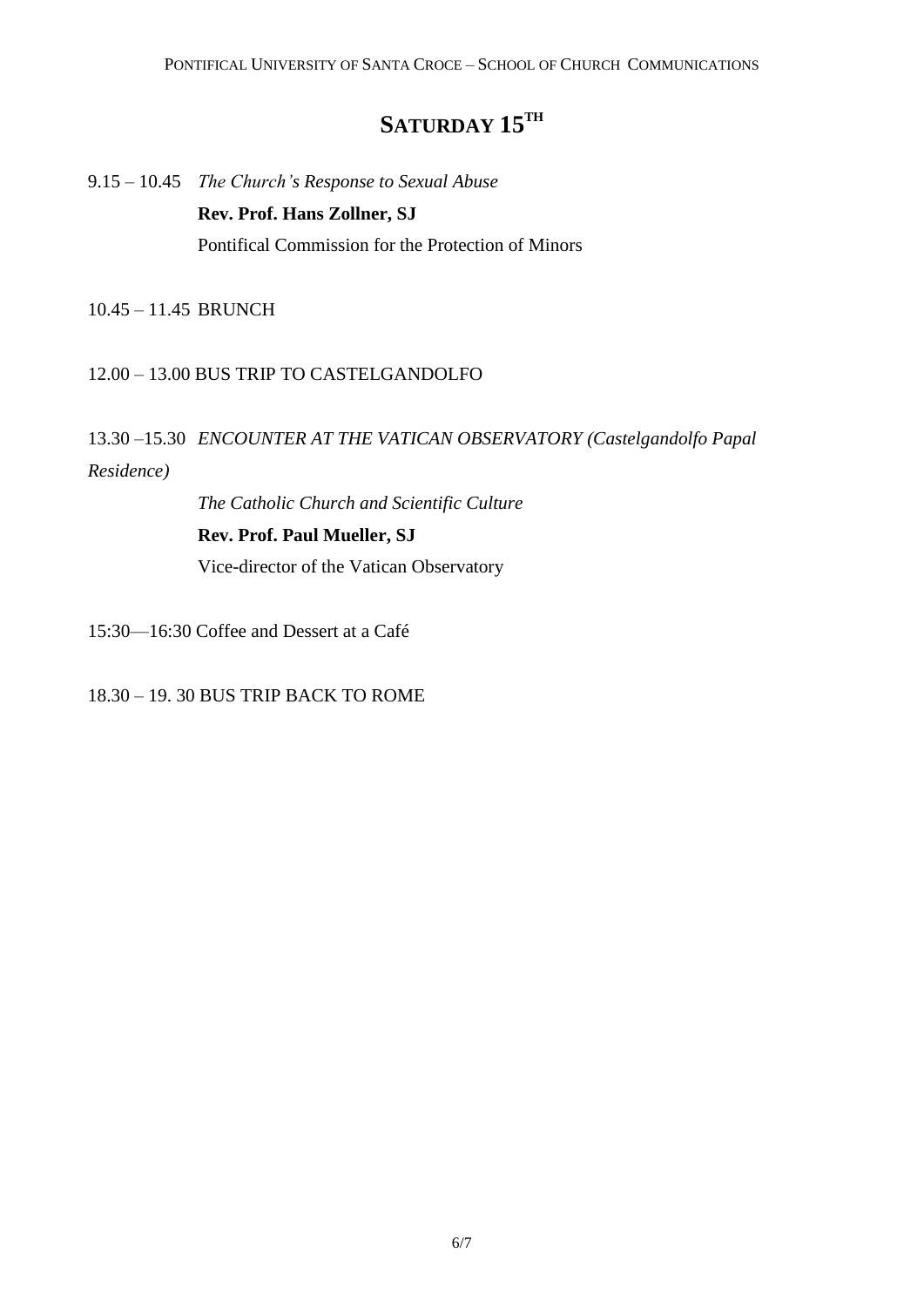## $\mathbf{SATURDAY}$   $\mathbf{15}^{\text{TH}}$

9.15 – 10.45 *The Church's Response to Sexual Abuse* **Rev. Prof. Hans Zollner, SJ** Pontifical Commission for the Protection of Minors

10.45 – 11.45 BRUNCH

#### 12.00 – 13.00 BUS TRIP TO CASTELGANDOLFO

### 13.30 –15.30 *ENCOUNTER AT THE VATICAN OBSERVATORY (Castelgandolfo Papal Residence)*

*The Catholic Church and Scientific Culture*

#### **Rev. Prof. Paul Mueller, SJ**

Vice-director of the Vatican Observatory

15:30—16:30 Coffee and Dessert at a Café

18.30 – 19. 30 BUS TRIP BACK TO ROME